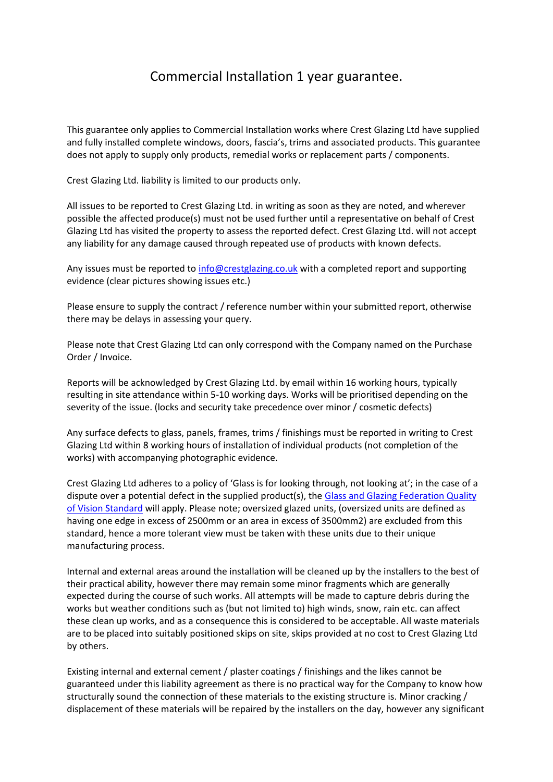## Commercial Installation 1 year guarantee.

This guarantee only applies to Commercial Installation works where Crest Glazing Ltd have supplied and fully installed complete windows, doors, fascia's, trims and associated products. This guarantee does not apply to supply only products, remedial works or replacement parts / components.

Crest Glazing Ltd. liability is limited to our products only.

All issues to be reported to Crest Glazing Ltd. in writing as soon as they are noted, and wherever possible the affected produce(s) must not be used further until a representative on behalf of Crest Glazing Ltd has visited the property to assess the reported defect. Crest Glazing Ltd. will not accept any liability for any damage caused through repeated use of products with known defects.

Any issues must be reported t[o info@crestglazing.co.uk](mailto:info@crestglazing.co.uk) with a completed report and supporting evidence (clear pictures showing issues etc.)

Please ensure to supply the contract / reference number within your submitted report, otherwise there may be delays in assessing your query.

Please note that Crest Glazing Ltd can only correspond with the Company named on the Purchase Order / Invoice.

Reports will be acknowledged by Crest Glazing Ltd. by email within 16 working hours, typically resulting in site attendance within 5-10 working days. Works will be prioritised depending on the severity of the issue. (locks and security take precedence over minor / cosmetic defects)

Any surface defects to glass, panels, frames, trims / finishings must be reported in writing to Crest Glazing Ltd within 8 working hours of installation of individual products (not completion of the works) with accompanying photographic evidence.

Crest Glazing Ltd adheres to a policy of 'Glass is for looking through, not looking at'; in the case of a dispute over a potential defect in the supplied product(s), the Glass and Glazing Federation Quality [of Vision Standard](https://www.myglazing.com/wp-content/uploads/2015/08/Quality-of-Vision.pdf) will apply. Please note; oversized glazed units, (oversized units are defined as having one edge in excess of 2500mm or an area in excess of 3500mm2) are excluded from this standard, hence a more tolerant view must be taken with these units due to their unique manufacturing process.

Internal and external areas around the installation will be cleaned up by the installers to the best of their practical ability, however there may remain some minor fragments which are generally expected during the course of such works. All attempts will be made to capture debris during the works but weather conditions such as (but not limited to) high winds, snow, rain etc. can affect these clean up works, and as a consequence this is considered to be acceptable. All waste materials are to be placed into suitably positioned skips on site, skips provided at no cost to Crest Glazing Ltd by others.

Existing internal and external cement / plaster coatings / finishings and the likes cannot be guaranteed under this liability agreement as there is no practical way for the Company to know how structurally sound the connection of these materials to the existing structure is. Minor cracking / displacement of these materials will be repaired by the installers on the day, however any significant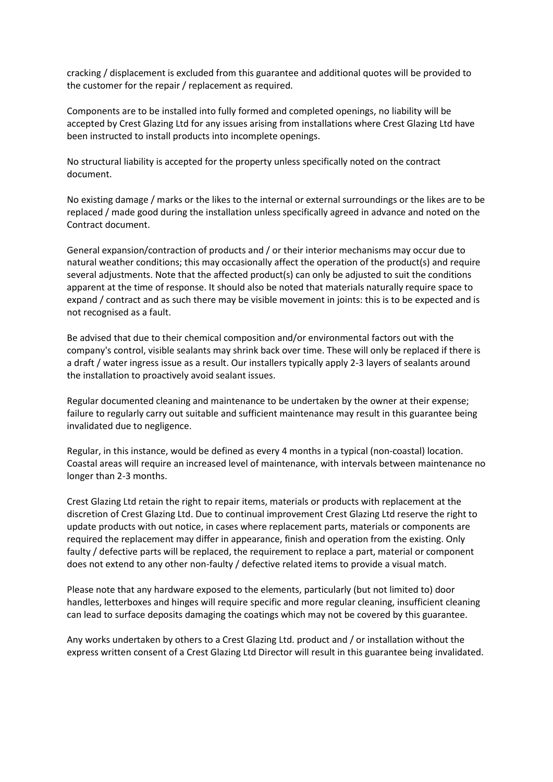cracking / displacement is excluded from this guarantee and additional quotes will be provided to the customer for the repair / replacement as required.

Components are to be installed into fully formed and completed openings, no liability will be accepted by Crest Glazing Ltd for any issues arising from installations where Crest Glazing Ltd have been instructed to install products into incomplete openings.

No structural liability is accepted for the property unless specifically noted on the contract document.

No existing damage / marks or the likes to the internal or external surroundings or the likes are to be replaced / made good during the installation unless specifically agreed in advance and noted on the Contract document.

General expansion/contraction of products and / or their interior mechanisms may occur due to natural weather conditions; this may occasionally affect the operation of the product(s) and require several adjustments. Note that the affected product(s) can only be adjusted to suit the conditions apparent at the time of response. It should also be noted that materials naturally require space to expand / contract and as such there may be visible movement in joints: this is to be expected and is not recognised as a fault.

Be advised that due to their chemical composition and/or environmental factors out with the company's control, visible sealants may shrink back over time. These will only be replaced if there is a draft / water ingress issue as a result. Our installers typically apply 2-3 layers of sealants around the installation to proactively avoid sealant issues.

Regular documented cleaning and maintenance to be undertaken by the owner at their expense; failure to regularly carry out suitable and sufficient maintenance may result in this guarantee being invalidated due to negligence.

Regular, in this instance, would be defined as every 4 months in a typical (non-coastal) location. Coastal areas will require an increased level of maintenance, with intervals between maintenance no longer than 2-3 months.

Crest Glazing Ltd retain the right to repair items, materials or products with replacement at the discretion of Crest Glazing Ltd. Due to continual improvement Crest Glazing Ltd reserve the right to update products with out notice, in cases where replacement parts, materials or components are required the replacement may differ in appearance, finish and operation from the existing. Only faulty / defective parts will be replaced, the requirement to replace a part, material or component does not extend to any other non-faulty / defective related items to provide a visual match.

Please note that any hardware exposed to the elements, particularly (but not limited to) door handles, letterboxes and hinges will require specific and more regular cleaning, insufficient cleaning can lead to surface deposits damaging the coatings which may not be covered by this guarantee.

Any works undertaken by others to a Crest Glazing Ltd. product and / or installation without the express written consent of a Crest Glazing Ltd Director will result in this guarantee being invalidated.